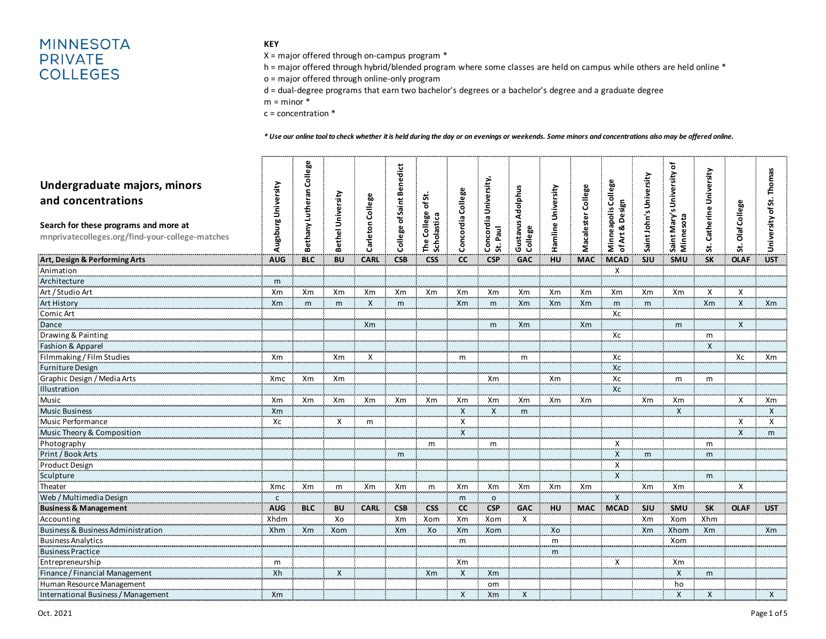# **MINNESOTA PRIVATE COLLEGES**

### **KEY**

X = major offered through on-campus program \*

h = major offered through hybrid/blended program where some classes are held on campus while others are held online \*

o = major offered through online-only program

d = dual-degree programs that earn two bachelor's degrees or a bachelor's degree and a graduate degree

 $m =$  minor  $*$ 

c = concentration \*

#### *\* Use our online tool to check whether it is held during the day or on evenings or weekends. Some minors and concentrations also may be offered online.*

| Undergraduate majors, minors<br>and concentrations<br>Search for these programs and more at<br>mnprivatecolleges.org/find-your-college-matches | Augsburg University | College<br>Bethany Lutheran | Bethel University | College<br>Carleton | ofSaint Benedict<br>College | ಹ<br>'ঠ<br>College<br>The College<br>Scholastica | <b>Concordia College</b> | Concordia University,<br>St. Paul | Gustavus Adolphus<br>College | Hamline University | College<br>Macalester | <b>College</b><br>Design<br>apolis<br>ø<br>Minnea<br>ofArt | Saint John's University | Saint Mary's University of<br>Minnesota | Catherine University<br>s. | St. Olaf College | University of St. Thomas |
|------------------------------------------------------------------------------------------------------------------------------------------------|---------------------|-----------------------------|-------------------|---------------------|-----------------------------|--------------------------------------------------|--------------------------|-----------------------------------|------------------------------|--------------------|-----------------------|------------------------------------------------------------|-------------------------|-----------------------------------------|----------------------------|------------------|--------------------------|
| Art, Design & Performing Arts                                                                                                                  | <b>AUG</b>          | <b>BLC</b>                  | <b>BU</b>         | <b>CARL</b>         | <b>CSB</b>                  | <b>CSS</b>                                       | <b>CC</b>                | <b>CSP</b>                        | <b>GAC</b>                   | HU                 | <b>MAC</b>            | <b>MCAD</b>                                                | <b>SJU</b>              | <b>SMU</b>                              | <b>SK</b>                  | <b>OLAF</b>      | <b>UST</b>               |
| Animation                                                                                                                                      |                     |                             |                   |                     |                             |                                                  |                          |                                   |                              |                    |                       | X                                                          |                         |                                         |                            |                  |                          |
| Architecture                                                                                                                                   | m                   |                             |                   |                     |                             |                                                  |                          |                                   |                              |                    |                       |                                                            |                         |                                         |                            |                  |                          |
| Art / Studio Art                                                                                                                               | Xm                  | Xm                          | Xm                | Xm                  | Xm                          | Xm                                               | Xm                       | Xm                                | Xm                           | Xm                 | Xm                    | Xm                                                         | Xm                      | Xm                                      | X                          | X                |                          |
| <b>Art History</b>                                                                                                                             | X <sub>m</sub>      | m                           | m                 | $\mathsf{X}$        | m                           |                                                  | Xm                       | m                                 | Xm                           | Xm                 | Xm                    | m                                                          | m                       |                                         | Xm                         | $\mathsf{X}$     | Xm                       |
| Comic Art                                                                                                                                      |                     |                             |                   |                     |                             |                                                  |                          |                                   |                              |                    |                       | Хc                                                         |                         |                                         |                            |                  |                          |
| Dance                                                                                                                                          |                     |                             |                   | <b>Xm</b>           |                             |                                                  |                          | m                                 | Xm                           |                    | Xm                    |                                                            |                         | m                                       |                            | $\mathsf{X}$     |                          |
| Drawing & Painting                                                                                                                             |                     |                             |                   |                     |                             |                                                  |                          |                                   |                              |                    |                       | Xc                                                         |                         |                                         | m                          |                  |                          |
| Fashion & Apparel                                                                                                                              |                     |                             |                   |                     |                             |                                                  |                          |                                   |                              |                    |                       |                                                            |                         |                                         | X                          |                  |                          |
| Filmmaking / Film Studies                                                                                                                      | Xm                  |                             | Xm                | $\mathsf{X}$        |                             |                                                  | m                        |                                   | m                            |                    |                       | Xc                                                         |                         |                                         |                            | X <sub>C</sub>   | X <sub>m</sub>           |
| Furniture Design                                                                                                                               |                     |                             |                   |                     |                             |                                                  |                          |                                   |                              |                    |                       | Xc                                                         |                         |                                         |                            |                  |                          |
| Graphic Design / Media Arts                                                                                                                    | Xmc                 | Xm                          | Xm                |                     |                             |                                                  |                          | Xm                                |                              | Xm                 |                       | Xc                                                         |                         | m                                       | m                          |                  |                          |
| Illustration                                                                                                                                   |                     |                             |                   |                     |                             |                                                  |                          |                                   |                              |                    |                       | Xc                                                         |                         |                                         |                            |                  |                          |
| Music                                                                                                                                          | Xm                  | Xm                          | Xm                | Xm                  | Xm                          | Xm                                               | Xm                       | Xm                                | Xm                           | Xm                 | Xm                    |                                                            | Xm                      | Xm                                      |                            | Χ                | Xm                       |
| <b>Music Business</b>                                                                                                                          | X <sub>m</sub>      |                             |                   |                     |                             |                                                  | $\mathsf{x}$             | $\mathsf{X}$                      | m                            |                    |                       |                                                            |                         | X                                       |                            |                  | $\mathsf{x}$             |
| Music Performance                                                                                                                              | Xc                  |                             | X                 | m                   |                             |                                                  | X                        |                                   |                              |                    |                       |                                                            |                         |                                         |                            | X                | Χ                        |
| Music Theory & Composition                                                                                                                     |                     |                             |                   |                     |                             |                                                  | $\mathsf{X}$             |                                   |                              |                    |                       |                                                            |                         |                                         |                            | $\mathsf{X}$     | m                        |
| Photography                                                                                                                                    |                     |                             |                   |                     |                             | m                                                |                          | m                                 |                              |                    |                       | X                                                          |                         |                                         | m                          |                  |                          |
| Print / Book Arts                                                                                                                              |                     |                             |                   |                     | m                           |                                                  |                          |                                   |                              |                    |                       | $\overline{X}$                                             | m                       |                                         | m                          |                  |                          |
| Product Design                                                                                                                                 |                     |                             |                   |                     |                             |                                                  |                          |                                   |                              |                    |                       | X                                                          |                         |                                         |                            |                  |                          |
| Sculpture                                                                                                                                      |                     |                             |                   |                     |                             |                                                  |                          |                                   |                              |                    |                       | $\mathsf{X}$                                               |                         |                                         | m                          |                  |                          |
| Theater                                                                                                                                        | Xmc                 | Xm                          | m                 | Xm                  | Xm                          | m                                                | Xm                       | Xm                                | Xm                           | Xm                 | Xm                    |                                                            | Xm                      | Xm                                      |                            | $\times$         |                          |
| Web / Multimedia Design                                                                                                                        | $\mathsf{C}$        |                             |                   |                     |                             |                                                  | m                        | $\circ$                           |                              |                    |                       | $\mathsf{X}$                                               |                         |                                         |                            |                  |                          |
| <b>Business &amp; Management</b>                                                                                                               | AUG                 | <b>BLC</b>                  | <b>BU</b>         | <b>CARL</b>         | <b>CSB</b>                  | <b>CSS</b>                                       | <b>CC</b>                | <b>CSP</b>                        | <b>GAC</b>                   | <b>HU</b>          | <b>MAC</b>            | <b>MCAD</b>                                                | <b>SJU</b>              | SMU                                     | <b>SK</b>                  | <b>OLAF</b>      | <b>UST</b>               |
| Accounting                                                                                                                                     | Xhdm                |                             | Xo                |                     | Xm                          | Xom                                              | Xm                       | Xom                               | X                            |                    |                       |                                                            | Xm                      | Xom                                     | Xhm                        |                  |                          |
| Business & Business Administration                                                                                                             | Xhm                 | Xm                          | Xom               |                     | Xm                          | Xo                                               | Xm                       | Xom                               |                              | Xo                 |                       |                                                            | <b>Xm</b>               | Xhom                                    | Xm                         |                  | X <sub>m</sub>           |
| <b>Business Analytics</b>                                                                                                                      |                     |                             |                   |                     |                             |                                                  | m                        |                                   |                              | m                  |                       |                                                            |                         | Xom                                     |                            |                  |                          |
| <b>Business Practice</b>                                                                                                                       |                     |                             |                   |                     |                             |                                                  |                          |                                   |                              | m                  |                       |                                                            |                         |                                         |                            |                  |                          |
| Entrepreneurship                                                                                                                               | m                   |                             |                   |                     |                             |                                                  | Xm                       |                                   |                              |                    |                       | X                                                          |                         | Xm                                      |                            |                  |                          |
| Finance / Financial Management                                                                                                                 | Xh                  |                             | $\mathsf{x}$      |                     |                             | <b>Xm</b>                                        | $\mathsf{X}$             | X <sub>m</sub>                    |                              |                    |                       |                                                            |                         | $\mathsf{X}$                            | m                          |                  |                          |
| Human Resource Management                                                                                                                      |                     |                             |                   |                     |                             |                                                  |                          | om                                |                              |                    |                       |                                                            |                         | ho                                      |                            |                  |                          |
| International Business / Management                                                                                                            | Xm                  |                             |                   |                     |                             |                                                  | $\mathsf{X}$             | Xm                                | X                            |                    |                       |                                                            |                         | $\mathsf{X}$                            | $\pmb{\times}$             |                  | X                        |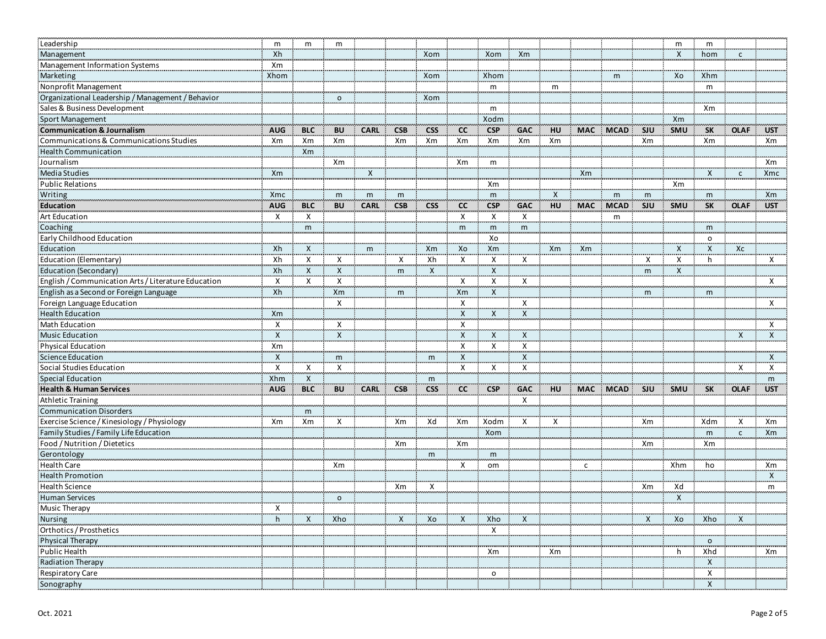| Leadership                                          | m            | m                         | m              |             |              |                   |              |                           |                           |              |              |             |              | m          | m                         |              |              |
|-----------------------------------------------------|--------------|---------------------------|----------------|-------------|--------------|-------------------|--------------|---------------------------|---------------------------|--------------|--------------|-------------|--------------|------------|---------------------------|--------------|--------------|
| Management                                          | Xh           |                           |                |             |              | Xom               |              | Xom                       | Xm                        |              |              |             |              | X          | hom                       | $\mathsf{C}$ |              |
| Management Information Systems                      | Xm           |                           |                |             |              | <b>Literature</b> |              | .                         |                           |              |              |             |              |            |                           |              |              |
| Marketing                                           | Xhom         |                           |                |             |              | Xom               |              | Xhom                      |                           |              |              | m           |              | Xo         | Xhm                       |              |              |
| Nonprofit Management                                |              |                           |                |             |              |                   |              | $\mathsf{m}$              |                           | $\mathsf{m}$ |              |             |              |            | m                         |              |              |
| Organizational Leadership / Management / Behavior   |              |                           | $\circ$        |             |              | Xom               |              |                           |                           |              |              |             |              |            |                           |              |              |
| Sales & Business Development                        |              |                           |                |             |              |                   |              | $\mathsf{m}$              |                           |              |              |             |              |            | Xm                        |              |              |
| Sport Management                                    |              |                           |                |             |              |                   |              | Xodm                      |                           |              |              |             |              | Xm         |                           |              |              |
| <b>Communication &amp; Journalism</b>               | <b>AUG</b>   | <b>BLC</b>                | <b>BU</b>      | <b>CARL</b> | <b>CSB</b>   | <b>CSS</b>        | <b>CC</b>    | <b>CSP</b>                | <b>GAC</b>                | HU           | <b>MAC</b>   | <b>MCAD</b> | <b>SJU</b>   | <b>SMU</b> | <b>SK</b>                 | <b>OLAF</b>  | <b>UST</b>   |
| Communications & Communications Studies             | Xm           | Xm                        | Xm             |             | Xm           | Xm                | Xm           | Xm                        | Xm                        | Xm           |              |             | Xm           |            | Xm                        |              | Xm           |
| <b>Health Communication</b>                         |              | Xm                        |                |             |              |                   |              |                           |                           |              |              |             |              |            |                           |              |              |
| Journalism                                          |              |                           | Xm             |             |              |                   | Xm           | m                         |                           |              |              |             |              |            |                           |              | Xm           |
| Media Studies                                       | Xm           |                           |                | X           |              |                   |              |                           |                           |              | Xm           |             |              |            | $\mathsf{X}$              | $\mathsf{C}$ | Xmc          |
| <b>Public Relations</b>                             |              |                           |                |             |              |                   |              | Xm                        |                           |              |              |             |              | Xm         |                           |              |              |
| Writing                                             | Xmc          |                           | m              | m           | m            |                   |              | m                         |                           | $\mathsf{X}$ |              | m           | m            |            | m                         |              | Xm           |
| Education                                           | <b>AUG</b>   | <b>BLC</b>                | <b>BU</b>      | <b>CARL</b> | <b>CSB</b>   | <b>CSS</b>        | <b>CC</b>    | <b>CSP</b>                | <b>GAC</b>                | HU           | <b>MAC</b>   | <b>MCAD</b> | <b>SJU</b>   | SMU        | <b>SK</b>                 | <b>OLAF</b>  | <b>UST</b>   |
| Art Education                                       | X            | Χ                         |                |             |              |                   | X            | X                         | X                         |              |              | m           |              |            |                           |              |              |
| Coaching                                            |              | m                         |                |             |              |                   | m            | m                         | m                         |              |              |             |              |            | m                         |              |              |
| Early Childhood Education                           |              |                           |                |             |              |                   |              | Xo                        |                           |              |              |             |              |            | $\circ$                   |              |              |
| Education                                           | Xh           | X                         |                | m           |              | Xm                | Xo           | Xm                        |                           | Xm           | Xm           |             |              | X          | $\boldsymbol{\mathsf{X}}$ | Xc           |              |
| Education (Elementary)                              | Xh           | Χ                         | X              |             | X            | Xh                | Χ            | X                         | X                         |              |              |             | Χ            | Χ          | h                         |              | X            |
| Education (Secondary)                               | Xh           | $\boldsymbol{\mathsf{X}}$ | $\pmb{\times}$ |             | m            | $\pmb{\times}$    |              | $\boldsymbol{\mathsf{X}}$ |                           |              |              |             |              | X          |                           |              |              |
| English / Communication Arts / Literature Education | X            | X                         | Χ              |             |              |                   | X            | X                         | X                         |              |              |             | m            |            |                           |              | X            |
| English as a Second or Foreign Language             | Xh           |                           | Xm             |             |              |                   |              | $\boldsymbol{X}$          |                           |              |              |             |              |            |                           |              |              |
|                                                     |              |                           | X              |             | m            |                   | Xm<br>X      |                           | X                         |              |              |             | m            |            | m                         |              | X            |
| Foreign Language Education                          |              |                           |                |             |              |                   |              |                           |                           |              |              |             |              |            |                           |              |              |
| <b>Health Education</b>                             | Xm           |                           |                |             |              |                   | X            | $\boldsymbol{X}$          | $\boldsymbol{\mathsf{X}}$ |              |              |             |              |            |                           |              |              |
| Math Education                                      | X            |                           | X              |             |              |                   | Χ            |                           |                           |              |              |             |              |            |                           |              | X            |
| <b>Music Education</b>                              | $\mathsf{x}$ |                           | $\mathsf{X}$   |             |              |                   | $\mathsf{X}$ | $\boldsymbol{X}$          | $\boldsymbol{\mathsf{X}}$ |              |              |             |              |            |                           | $\mathsf{X}$ | $\mathsf{x}$ |
| <b>Physical Education</b>                           | Xm           |                           |                |             |              |                   | X            | X                         | $\boldsymbol{\mathsf{X}}$ |              |              |             |              |            |                           |              |              |
| Science Education                                   | $\mathsf{x}$ |                           | m              |             |              | m                 | $\mathsf{X}$ |                           | $\mathsf{X}$              |              |              |             |              |            |                           |              | X            |
| Social Studies Education                            | X            | x                         | Χ              |             |              |                   | X            | X                         | X                         |              |              |             |              |            |                           | Х            | X            |
| Special Education                                   | Xhm          | $\boldsymbol{\mathsf{X}}$ |                |             |              | m                 |              |                           |                           |              |              |             |              |            |                           |              | m            |
| <b>Health &amp; Human Services</b>                  | <b>AUG</b>   | <b>BLC</b>                | <b>BU</b>      | <b>CARL</b> | <b>CSB</b>   | <b>CSS</b>        | cc           | <b>CSP</b><br>r.          | GAC                       | <b>HU</b>    | <b>MAC</b>   | MCAD SJU    |              | SMU        | <b>SK</b>                 | <b>OLAF</b>  | <b>UST</b>   |
| <b>Athletic Training</b>                            |              |                           |                |             |              |                   |              |                           | X                         |              |              |             |              |            |                           |              |              |
| <b>Communication Disorders</b>                      |              | m                         |                |             |              |                   |              |                           |                           |              |              |             |              |            |                           |              |              |
| Exercise Science / Kinesiology / Physiology         | Xm           | Xm                        | X              |             | Xm           | Xd                | Xm           | Xodm                      | X                         | X            |              |             | Xm           |            | Xdm                       | X            | Xm           |
| Family Studies / Family Life Education              |              |                           |                |             |              |                   |              | Xom                       |                           |              |              |             |              |            | m                         | $\mathsf{C}$ | Xm           |
| Food / Nutrition / Dietetics                        |              |                           |                |             | Xm           |                   | Xm           | .                         |                           |              |              |             | Xm           |            | Xm                        |              |              |
| Gerontology                                         |              |                           |                |             |              | m                 |              | m                         |                           |              |              |             |              |            |                           |              |              |
| <b>Health Care</b>                                  |              |                           | Xm             |             |              |                   | Χ            | om                        |                           |              | $\mathsf{C}$ |             |              | Xhm        | ho                        |              | Xm           |
| <b>Health Promotion</b>                             |              |                           |                |             |              |                   |              |                           |                           |              |              |             |              |            |                           |              | X            |
| <b>Health Science</b>                               |              |                           |                |             | Xm           | X                 |              |                           |                           |              |              |             | Xm           | Xd         |                           |              | m            |
| <b>Human Services</b>                               |              |                           | $\circ$        |             |              |                   |              |                           |                           |              |              |             |              | X          |                           |              |              |
| Music Therapy                                       | X            |                           |                |             |              |                   |              |                           |                           |              |              |             |              |            |                           |              |              |
| Nursing                                             | h.           | X                         | Xho            |             | $\mathsf{X}$ | Xo                | X            | Xho                       | X                         |              |              |             | $\mathsf{X}$ | Xo         | Xho                       | X            |              |
| Orthotics / Prosthetics                             |              |                           |                |             |              |                   |              | Χ                         |                           |              |              |             |              |            |                           |              |              |
| Physical Therapy                                    |              |                           |                |             |              |                   |              |                           |                           |              |              |             |              |            | $\mathsf{o}\,$            |              |              |
| Public Health                                       |              |                           |                |             |              |                   |              | Xm                        |                           | Xm           |              |             |              | h          | Xhd                       |              | Xm           |
| Radiation Therapy                                   |              |                           |                |             |              |                   |              |                           |                           |              |              |             |              |            | $\mathsf{x}$              |              |              |
| Respiratory Care                                    |              |                           |                |             |              |                   |              | $\circ$                   |                           |              |              |             |              |            | $\mathsf{X}$              |              |              |
| Sonography                                          |              |                           |                |             |              |                   |              |                           |                           |              |              |             |              |            | X                         |              |              |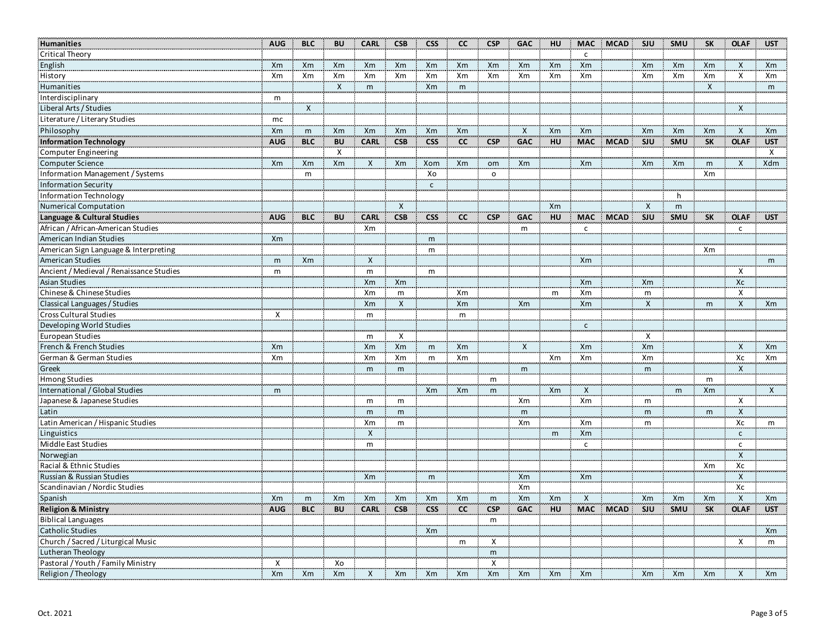| Humanities                               | <b>AUG</b>     | <b>BLC</b> | <b>BU</b> | <b>CARL</b>  | <b>CSB</b>       | <b>CSS</b>   | cc | <b>CSP</b>   | <b>GAC</b>   | HU | <b>MAC</b>     | <b>MCAD</b> | SJU          | <b>SMU</b> | <b>SK</b> | <b>OLAF</b>               | <b>UST</b>   |
|------------------------------------------|----------------|------------|-----------|--------------|------------------|--------------|----|--------------|--------------|----|----------------|-------------|--------------|------------|-----------|---------------------------|--------------|
| <b>Critical Theory</b>                   |                |            |           |              |                  |              |    |              |              |    | $\mathsf{C}$   |             |              |            |           |                           |              |
| English                                  | Xm             | Xm         | Xm        | Xm           | Xm               | Xm           | Xm | Xm           | Xm           | Xm | Xm             |             | Xm           | Xm         | Xm        | $\mathsf{X}$              | Xm           |
| History                                  | Xm             | Xm         | Xm        | Xm           | Xm               | Xm           | Xm | Xm           | Xm           | Xm | Xm             |             | Xm           | Xm         | Xm        | $\mathsf{X}$              | Xm           |
| Humanities                               |                |            | X         | m            |                  | Xm           | m  |              |              |    |                |             |              |            | X         |                           | m            |
| Interdisciplinary                        | m              |            |           |              |                  |              |    |              |              |    |                |             |              |            |           |                           |              |
| Liberal Arts / Studies                   |                | X          |           |              |                  |              |    |              |              |    |                |             |              |            |           | X                         |              |
| Literature / Literary Studies            | mc             |            |           |              |                  |              |    |              |              |    |                |             |              |            |           |                           |              |
| Philosophy                               | Xm             | m          | Xm        | Xm           | Xm               | Xm           | Xm |              | $\mathsf{X}$ | Xm | <b>Xm</b>      |             | Xm           | Xm         | Xm        | $\mathsf{X}$              | Xm           |
| <b>Information Technology</b>            | <b>AUG</b>     | <b>BLC</b> | <b>BU</b> | <b>CARL</b>  | <b>CSB</b>       | <b>CSS</b>   | cc | <b>CSP</b>   | <b>GAC</b>   | HU | <b>MAC</b>     | <b>MCAD</b> | SJU          | SMU        | <b>SK</b> | <b>OLAF</b>               | <b>UST</b>   |
| Computer Engineering                     |                |            | Х         |              |                  |              |    |              |              |    |                |             |              |            |           |                           | Χ            |
| <b>Computer Science</b>                  | Xm             | Xm         | Xm        | X            | Xm               | Xom          | Xm | om           | Xm           |    | Xm             |             | Xm           | Xm         | m         | X                         | Xdm          |
| Information Management / Systems         |                | m          |           |              |                  | Xo           |    | $\circ$      |              |    |                |             |              |            | Xm        |                           |              |
| <b>Information Security</b>              |                |            |           |              |                  | $\mathsf{c}$ |    |              |              |    |                |             |              |            |           |                           |              |
| Information Technology                   |                |            |           |              |                  |              |    |              |              |    |                |             |              | h.         |           |                           |              |
| <b>Numerical Computation</b>             |                |            |           |              | $\mathsf{X}$     |              |    |              |              | Xm |                |             | X            | m          |           |                           |              |
| Language & Cultural Studies              | <b>AUG</b>     | <b>BLC</b> | <b>BU</b> | <b>CARL</b>  | <b>CSB</b>       | <b>CSS</b>   | cc | <b>CSP</b>   | <b>GAC</b>   | HU | <b>MAC</b>     | <b>MCAD</b> | SJU          | SMU        | <b>SK</b> | <b>OLAF</b>               | <b>UST</b>   |
| African / African-American Studies       |                |            |           | Xm           |                  |              |    |              | m            |    | $\mathsf{C}$   |             |              |            |           | $\mathsf{C}$              |              |
| American Indian Studies                  | Xm             |            |           |              |                  | m            |    |              |              |    |                |             |              |            |           |                           |              |
| American Sign Language & Interpreting    |                |            |           |              |                  | m            |    |              |              |    |                |             |              |            | Xm        |                           |              |
| American Studies                         | m              | Xm         |           | $\mathsf{X}$ |                  |              |    |              |              |    | Xm             |             |              |            |           |                           | m            |
| Ancient / Medieval / Renaissance Studies | m              |            |           | m            |                  | m            |    |              |              |    |                |             |              |            |           | X                         |              |
| <b>Asian Studies</b>                     |                |            |           | Xm           | Xm               |              |    |              |              |    | X <sub>m</sub> |             | Xm           |            |           | Xc                        |              |
| Chinese & Chinese Studies                |                |            |           | Xm           | m                |              | Xm |              |              | m  | Xm             |             | m            |            |           | X                         |              |
| Classical Languages / Studies            |                |            |           | Xm           | $\boldsymbol{X}$ |              | Xm |              | Xm           |    | Xm             |             | $\mathsf{X}$ |            | m         | $\overline{\mathsf{x}}$   | Xm           |
| Cross Cultural Studies                   | $\mathsf{x}$   |            |           | m            |                  |              | m  |              |              |    |                |             |              |            |           |                           |              |
| Developing World Studies                 |                |            |           |              |                  |              |    |              |              |    | $\mathsf{C}$   |             |              |            |           |                           |              |
| European Studies                         |                |            |           | m            | Χ                |              |    |              |              |    |                |             | X            |            |           |                           |              |
| French & French Studies                  | X <sub>m</sub> |            |           | Xm           | Xm               | m            | Xm |              | $\mathsf{X}$ |    | Xm             |             | Xm           |            |           | X                         | Xm           |
| German & German Studies                  | Xm             |            |           | Xm           | Xm               | m            | Xm |              |              | Xm | Xm             |             | Xm           |            |           | Xc                        | Xm           |
| Greek                                    |                |            |           | m            | m                |              |    |              | m            |    |                |             | m            |            |           | X                         |              |
| <b>Hmong Studies</b>                     |                |            |           |              |                  |              |    | m            |              |    |                |             |              |            | m         |                           |              |
| International / Global Studies           | m              |            |           |              |                  | Xm           | Xm | m            |              | Xm | $\mathsf{X}$   |             |              | m          | Xm        |                           | $\mathsf{X}$ |
| Japanese & Japanese Studies              |                |            |           | m            | m                |              |    |              | Xm           |    | Xm             |             | m            |            |           | х                         |              |
| Latin                                    |                |            |           | m            | m                |              |    |              | m            |    |                |             | m            |            | m         | $\mathsf{x}$              |              |
| Latin American / Hispanic Studies        |                |            |           | Xm           | m                |              |    |              | Xm           |    | Xm             |             | m            |            |           | Xc                        | m            |
| Linguistics                              |                |            |           | $\mathsf{X}$ |                  |              |    |              |              | m  | <b>Xm</b>      |             |              |            |           | $\mathsf{c}$              |              |
| Middle East Studies                      |                |            |           | m            |                  |              |    |              |              |    | $\mathsf{C}$   |             |              |            |           | $\mathsf{C}$              |              |
| Norwegian                                |                |            |           |              |                  |              |    |              |              |    |                |             |              |            |           | $\boldsymbol{\mathsf{x}}$ |              |
| Racial & Ethnic Studies                  |                |            |           |              |                  |              |    |              |              |    |                |             |              |            | Xm        | Хc                        |              |
| Russian & Russian Studies                |                |            |           | Xm           |                  | m            |    |              | Xm           |    | Xm             |             |              |            |           | X                         |              |
| Scandinavian / Nordic Studies            |                |            |           |              |                  |              |    |              | Xm           |    |                |             |              |            |           | Xc                        |              |
| Spanish                                  | <b>Xm</b>      | m          | Xm        | Xm           | Xm               | Xm           | Xm | m            | Xm           | Xm | X              |             | Xm           | Xm         | Xm        | X                         | Xm           |
| <b>Religion &amp; Ministry</b>           | <b>AUG</b>     | <b>BLC</b> | <b>BU</b> | <b>CARL</b>  | <b>CSB</b>       | <b>CSS</b>   | cc | <b>CSP</b>   | <b>GAC</b>   | HU | <b>MAC</b>     | <b>MCAD</b> | SJU          | SMU        | <b>SK</b> | <b>OLAF</b>               | <b>UST</b>   |
| <b>Biblical Languages</b>                |                |            |           |              |                  |              |    | m            |              |    |                |             |              |            |           |                           |              |
| <b>Catholic Studies</b>                  |                |            |           |              |                  | Xm           |    |              |              |    |                |             |              |            |           |                           | Xm           |
| Church / Sacred / Liturgical Music       |                |            |           |              |                  |              | m  | $\mathsf{X}$ |              |    |                |             |              |            |           | X                         | m            |
| Lutheran Theology                        |                |            |           |              |                  |              |    | ${\sf m}$    |              |    |                |             |              |            |           |                           |              |
| Pastoral / Youth / Family Ministry       | Χ              |            | Xo        |              |                  |              |    | X            |              |    |                |             |              |            |           |                           |              |
| Religion / Theology                      | Xm             | Xm         | Xm        | X            | Xm               | Xm           | Xm | Xm           | Xm           | Xm | Xm             |             | Xm           | Xm         | Xm        | X                         | Xm           |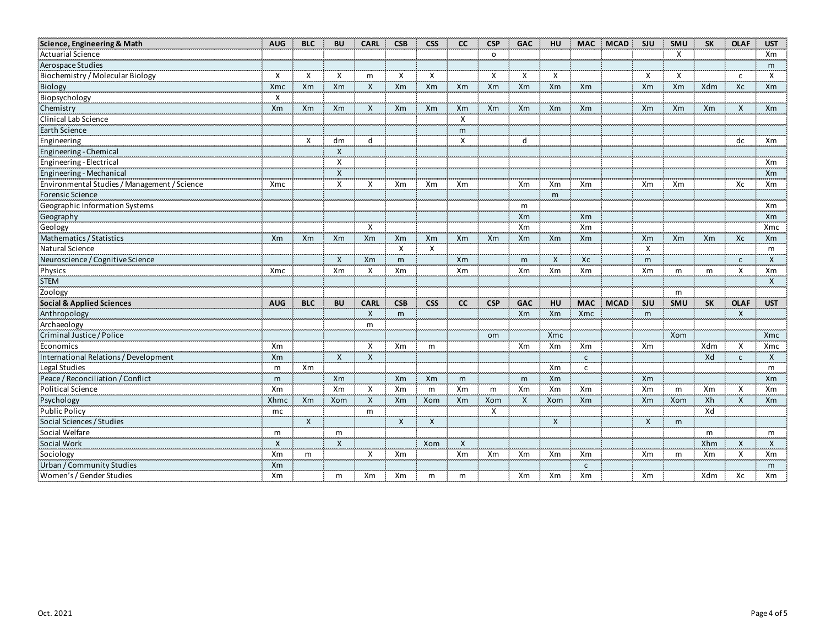| Science, Engineering & Math                  | <b>AUG</b>     | <b>BLC</b>   | <b>BU</b>          | <b>CARL</b>  | <b>CSB</b>     | <b>CSS</b>                | cc           | <b>CSP</b> | <b>GAC</b>   | <b>HU</b>    | <b>MAC</b>     | <b>MCAD</b> | <b>SJU</b>     | <b>SMU</b>   | <b>SK</b> | <b>OLAF</b>             | <b>UST</b>                |
|----------------------------------------------|----------------|--------------|--------------------|--------------|----------------|---------------------------|--------------|------------|--------------|--------------|----------------|-------------|----------------|--------------|-----------|-------------------------|---------------------------|
| <b>Actuarial Science</b>                     |                |              |                    |              |                |                           |              | $\circ$    |              |              |                |             |                | $\mathsf{x}$ |           |                         | Xm                        |
| Aerospace Studies                            |                |              |                    |              |                |                           |              |            |              |              |                |             |                |              |           |                         | m                         |
| Biochemistry / Molecular Biology             | X              | Χ            | $\mathsf{x}$       | m            | X              | $\boldsymbol{\mathsf{X}}$ |              | $\times$   | $\times$     | X            |                |             | X              | X            |           | $\mathsf{C}$            | X                         |
| Biology                                      | <b>Xmc</b>     | Xm           | <b>Xm</b>          | $\mathsf{X}$ | Xm             | Xm                        | Xm           | Xm         | Xm           | Xm           | Xm             |             | Xm             | Xm           | Xdm       | Xc                      | X <sub>m</sub>            |
| Biopsychology                                | х              |              |                    |              |                |                           |              |            |              |              |                |             |                |              |           |                         |                           |
| Chemistry                                    | Xm             | Xm           | Xm                 | X            | Xm             | Xm                        | Xm           | Xm         | Xm           | Xm           | Xm             |             | Xm             | Xm           | Xm        | X                       | Xm                        |
| Clinical Lab Science                         |                |              |                    |              |                |                           | $\mathsf{X}$ |            |              |              |                |             |                |              |           |                         |                           |
| Earth Science                                |                |              |                    |              |                |                           | m            |            |              |              |                |             |                |              |           |                         |                           |
| Engineering                                  |                | $\mathsf{x}$ | dm                 | d            |                |                           | X            |            | d            |              |                |             |                |              |           | dc                      | Xm                        |
| Engineering - Chemical                       |                |              | X                  |              |                |                           |              |            |              |              |                |             |                |              |           |                         |                           |
| Engineering - Electrical                     |                |              | X                  |              |                |                           |              |            |              |              |                |             |                |              |           |                         | Xm                        |
| Engineering - Mechanical                     |                |              | $\bar{\mathsf{x}}$ |              |                |                           |              |            |              |              |                |             |                |              |           |                         | Xm                        |
| Environmental Studies / Management / Science | Xmc            |              | X                  | Χ            | Xm             | Xm                        | Xm           |            | Xm           | Xm           | Xm             |             | Xm             | Xm           |           | Хc                      | Xm                        |
| Forensic Science                             |                |              |                    |              |                |                           |              |            |              | m            |                |             |                |              |           |                         |                           |
| Geographic Information Systems               |                |              |                    |              |                |                           |              |            | $\mathsf{m}$ |              |                |             |                |              |           |                         | Xm                        |
| Geography                                    |                |              |                    |              |                |                           |              |            | Xm           |              | Xm             |             |                |              |           |                         | Xm                        |
| Geology                                      |                |              |                    | X            |                |                           |              |            | Xm           |              | Xm             |             |                |              |           |                         | Xmc                       |
| Mathematics / Statistics                     | Xm             | <b>Xm</b>    | X <sub>m</sub>     | <b>Xm</b>    | <b>Xm</b>      | Xm                        | Xm           | Xm         | Xm           | Xm           | X <sub>m</sub> |             | X <sub>m</sub> | Xm           | <b>Xm</b> | Xc                      | <b>Xm</b>                 |
| Natural Science                              |                |              |                    |              | $\mathsf{x}$   | $\times$                  |              |            |              |              |                |             | $\mathsf{X}$   |              |           |                         | m                         |
| Neuroscience / Cognitive Science             |                |              | $\mathsf{X}$       | Xm           | m              |                           | Xm           |            | m            | $\mathsf{X}$ | Xc             |             | m              |              |           | $\mathsf{C}$            | X                         |
| Physics                                      | Xmc            |              | Xm                 | X            | Xm             |                           | Xm           |            | Xm           | Xm           | Xm             |             | Xm             | m            | m         | $\overline{\mathsf{x}}$ | Xm                        |
| <b>STEM</b>                                  |                |              |                    |              |                |                           |              |            |              |              |                |             |                |              |           |                         | X                         |
| Zoology                                      |                |              |                    |              |                |                           |              |            |              |              |                |             |                | m            |           |                         |                           |
| <b>Social &amp; Applied Sciences</b>         | <b>AUG</b>     | <b>BLC</b>   | <b>BU</b>          | <b>CARL</b>  | <b>CSB</b>     | <b>CSS</b>                | cc           | <b>CSP</b> | <b>GAC</b>   | HU           | <b>MAC</b>     | <b>MCAD</b> | SJU            | SMU          | <b>SK</b> | <b>OLAF</b>             | <b>UST</b>                |
| Anthropology                                 |                |              |                    | $\times$     | m              |                           |              |            | <b>Xm</b>    | Xm           | Xmc            |             | m              |              |           | $\mathsf{x}$            |                           |
| Archaeology                                  |                |              |                    | m            |                |                           |              |            |              |              |                |             |                |              |           |                         |                           |
| Criminal Justice / Police                    |                |              |                    |              |                |                           |              | om         |              | Xmc          |                |             |                | Xom          |           |                         | Xmc                       |
| Economics                                    | Xm             |              |                    | х            | Xm             | m                         |              |            | Xm           | Xm           | Xm             |             | Xm             |              | Xdm       | X                       | Xmc                       |
| International Relations / Development        | X <sub>m</sub> |              | X                  | $\mathsf{x}$ |                |                           |              |            |              |              | $\mathsf{C}$   |             |                |              | Xd        | $\mathsf{c}$            | $\boldsymbol{\mathsf{x}}$ |
| Legal Studies                                | m              | Xm           |                    |              |                |                           |              |            |              | Xm           | $\mathsf{C}$   |             |                |              |           |                         | m                         |
| Peace / Reconciliation / Conflict            | m              |              | Xm                 |              | Xm             | Xm                        | m            |            | m            | Xm           |                |             | Xm             |              |           |                         | Xm                        |
| <b>Political Science</b>                     | Xm             |              | Xm                 | X<br>        | Xm             | m                         | Xm           | m          | Xm           | Xm           | Xm             |             | Xm             | m<br>.       | Xm        | X<br>ستعد               | Xm                        |
| Psychology                                   | Xhmc           | Xm           | Xom                | X            | X <sub>m</sub> | Xom                       | Xm           | Xom        | $\times$     | Xom          | Xm             |             | Xm             | Xom          | Xh        | X                       | Xm                        |
| <b>Public Policy</b>                         | mc             |              |                    | m            |                |                           |              | X          |              |              |                |             |                |              | Xd        |                         |                           |
| Social Sciences / Studies                    |                | $\mathsf{X}$ |                    |              | $\times$       | $\times$                  |              |            |              | $\mathsf{X}$ |                |             | $\mathsf{X}$   | m            |           |                         |                           |
| Social Welfare                               | m              |              | m                  |              |                |                           |              |            |              |              |                |             |                |              | m         |                         | m                         |
| Social Work                                  | $\mathsf{X}$   |              | X                  |              |                | Xom                       | $\mathsf{x}$ |            |              |              |                |             |                |              | Xhm       | $\mathsf{x}$            | $\boldsymbol{\mathsf{x}}$ |
| Sociology                                    | Xm             | m            |                    | X            | Xm             |                           | Xm           | Xm         | Xm           | Xm           | Xm             |             | Xm             | m            | Xm        | X                       | Xm                        |
| Urban / Community Studies                    | Xm             |              |                    |              |                |                           |              |            |              |              | $\mathsf{C}$   |             |                |              |           |                         | m                         |
| Women's / Gender Studies                     | Xm             |              | m                  | Xm           | Xm             | m                         | m            |            | Xm           | Xm           | Xm             |             | Xm             |              | Xdm       | Хc                      | Xm                        |